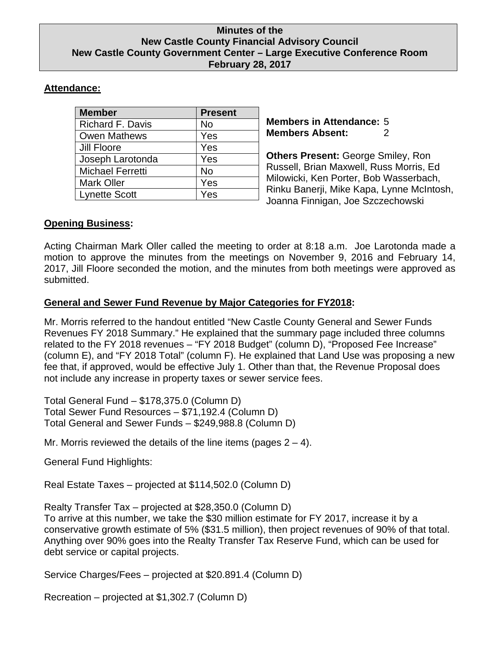### **Minutes of the New Castle County Financial Advisory Council New Castle County Government Center – Large Executive Conference Room February 28, 2017**

# **Attendance:**

| <b>Member</b>           | <b>Present</b> |
|-------------------------|----------------|
| <b>Richard F. Davis</b> | No             |
| <b>Owen Mathews</b>     | Yes            |
| Jill Floore             | Yes            |
| Joseph Larotonda        | Yes            |
| <b>Michael Ferretti</b> | No             |
| <b>Mark Oller</b>       | Yes            |
| <b>Lynette Scott</b>    | Yes            |

**Members in Attendance:** 5 **Members Absent:** 2

**Others Present:** George Smiley, Ron Russell, Brian Maxwell, Russ Morris, Ed Milowicki, Ken Porter, Bob Wasserbach, Rinku Banerji, Mike Kapa, Lynne McIntosh, Joanna Finnigan, Joe Szczechowski

## **Opening Business:**

Acting Chairman Mark Oller called the meeting to order at 8:18 a.m. Joe Larotonda made a motion to approve the minutes from the meetings on November 9, 2016 and February 14, 2017, Jill Floore seconded the motion, and the minutes from both meetings were approved as submitted.

## **General and Sewer Fund Revenue by Major Categories for FY2018:**

Mr. Morris referred to the handout entitled "New Castle County General and Sewer Funds Revenues FY 2018 Summary." He explained that the summary page included three columns related to the FY 2018 revenues – "FY 2018 Budget" (column D), "Proposed Fee Increase" (column E), and "FY 2018 Total" (column F). He explained that Land Use was proposing a new fee that, if approved, would be effective July 1. Other than that, the Revenue Proposal does not include any increase in property taxes or sewer service fees.

Total General Fund – \$178,375.0 (Column D) Total Sewer Fund Resources – \$71,192.4 (Column D) Total General and Sewer Funds – \$249,988.8 (Column D)

Mr. Morris reviewed the details of the line items (pages  $2 - 4$ ).

General Fund Highlights:

Real Estate Taxes – projected at \$114,502.0 (Column D)

Realty Transfer Tax – projected at \$28,350.0 (Column D) To arrive at this number, we take the \$30 million estimate for FY 2017, increase it by a conservative growth estimate of 5% (\$31.5 million), then project revenues of 90% of that total. Anything over 90% goes into the Realty Transfer Tax Reserve Fund, which can be used for debt service or capital projects.

Service Charges/Fees – projected at \$20.891.4 (Column D)

Recreation – projected at \$1,302.7 (Column D)